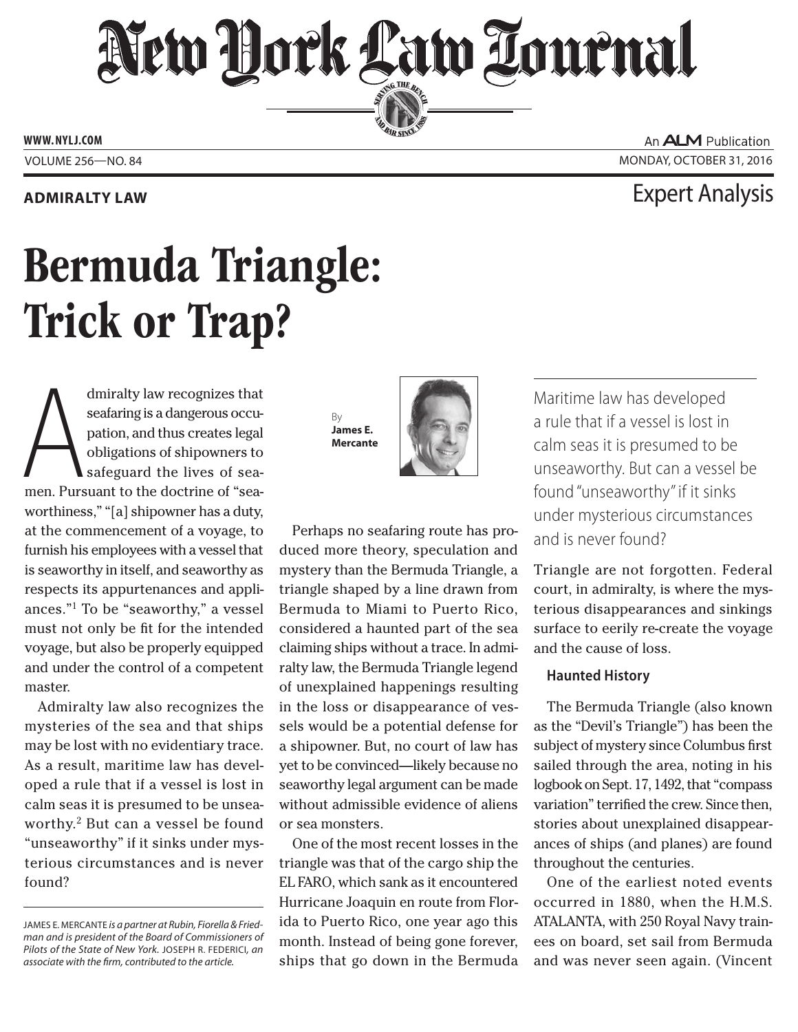## New York Law Lournal SERVING THE BET

**ED BAR SINCE 1888** 

**www. NYLJ.com**

### **Admiralty Law** Expert Analysis

# Bermuda Triangle: Trick or Trap?

dmiralty law recognizes that<br>seafaring is a dangerous occu-<br>pation, and thus creates legal<br>obligations of shipowners to<br>safeguard the lives of sea-<br>men. Pursuant to the doctrine of "seadmiralty law recognizes that seafaring is a dangerous occupation, and thus creates legal obligations of shipowners to safeguard the lives of seaworthiness," "[a] shipowner has a duty, at the commencement of a voyage, to furnish his employees with a vessel that is seaworthy in itself, and seaworthy as respects its appurtenances and appliances."1 To be "seaworthy," a vessel must not only be fit for the intended voyage, but also be properly equipped and under the control of a competent master.

Admiralty law also recognizes the mysteries of the sea and that ships may be lost with no evidentiary trace. As a result, maritime law has developed a rule that if a vessel is lost in calm seas it is presumed to be unseaworthy.2 But can a vessel be found "unseaworthy" if it sinks under mysterious circumstances and is never found?

By **James E. Mercante**



Perhaps no seafaring route has produced more theory, speculation and mystery than the Bermuda Triangle, a triangle shaped by a line drawn from Bermuda to Miami to Puerto Rico, considered a haunted part of the sea claiming ships without a trace. In admiralty law, the Bermuda Triangle legend of unexplained happenings resulting in the loss or disappearance of vessels would be a potential defense for a shipowner. But, no court of law has yet to be convinced—likely because no seaworthy legal argument can be made without admissible evidence of aliens or sea monsters.

One of the most recent losses in the triangle was that of the cargo ship the EL FARO, which sank as it encountered Hurricane Joaquin en route from Florida to Puerto Rico, one year ago this month. Instead of being gone forever, ships that go down in the Bermuda

Maritime law has developed a rule that if a vessel is lost in calm seas it is presumed to be unseaworthy. But can a vessel be found "unseaworthy" if it sinks under mysterious circumstances and is never found?

Triangle are not forgotten. Federal court, in admiralty, is where the mysterious disappearances and sinkings surface to eerily re-create the voyage and the cause of loss.

#### **Haunted History**

The Bermuda Triangle (also known as the "Devil's Triangle") has been the subject of mystery since Columbus first sailed through the area, noting in his logbook on Sept. 17, 1492, that "compass variation" terrified the crew. Since then, stories about unexplained disappearances of ships (and planes) are found throughout the centuries.

One of the earliest noted events occurred in 1880, when the H.M.S. ATALANTA, with 250 Royal Navy trainees on board, set sail from Bermuda and was never seen again. (Vincent

An **ALM** Publication VOLUME 256—NO. 84 MONDAY, OCTOBER 31, 2016

James E. Mercante *is a partner at Rubin, Fiorella & Friedman and is president of the Board of Commissioners of Pilots of the State of New York.* Joseph R. Federici*, an associate with the firm, contributed to the article.*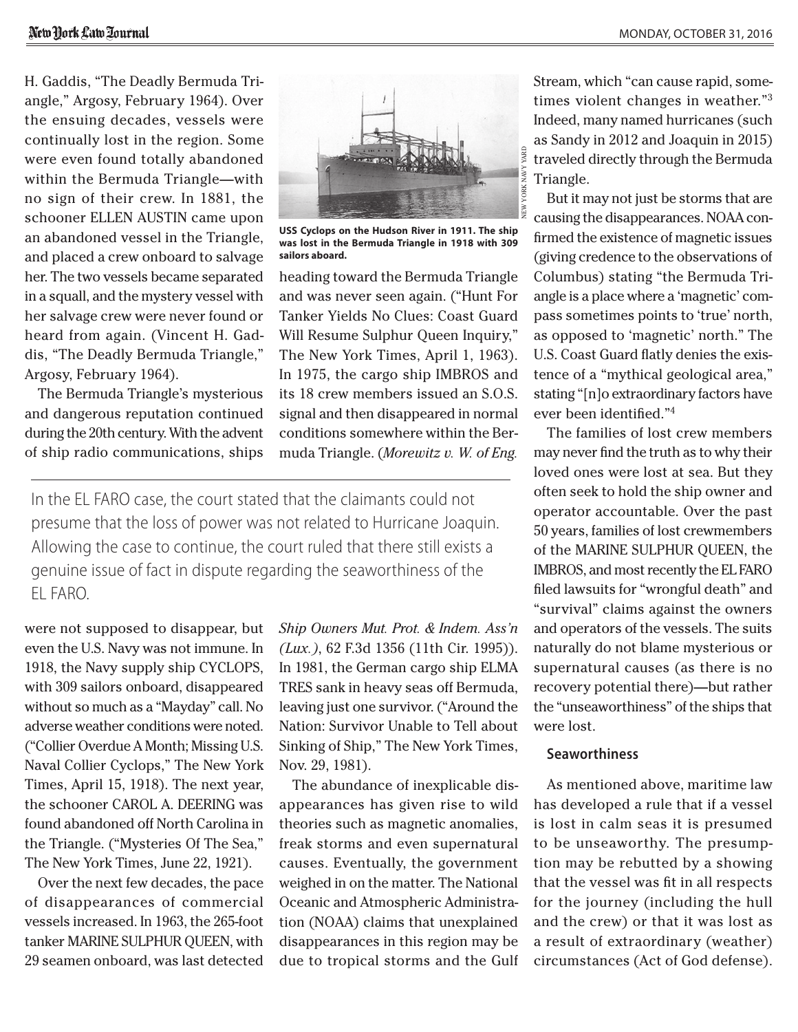H. Gaddis, "The Deadly Bermuda Triangle," Argosy, February 1964). Over the ensuing decades, vessels were continually lost in the region. Some were even found totally abandoned within the Bermuda Triangle—with no sign of their crew. In 1881, the schooner ELLEN AUSTIN came upon an abandoned vessel in the Triangle, and placed a crew onboard to salvage her. The two vessels became separated in a squall, and the mystery vessel with her salvage crew were never found or heard from again. (Vincent H. Gaddis, "The Deadly Bermuda Triangle," Argosy, February 1964).

The Bermuda Triangle's mysterious and dangerous reputation continued during the 20th century. With the advent of ship radio communications, ships



**USS Cyclops on the Hudson River in 1911. The ship was lost in the Bermuda Triangle in 1918 with 309 sailors aboard.**

heading toward the Bermuda Triangle and was never seen again. ("Hunt For Tanker Yields No Clues: Coast Guard Will Resume Sulphur Queen Inquiry," The New York Times, April 1, 1963). In 1975, the cargo ship IMBROS and its 18 crew members issued an S.O.S. signal and then disappeared in normal conditions somewhere within the Bermuda Triangle. (*[Morewitz v. W. of Eng.](CITE: 62 F.3d 1356)* 

In the EL FARO case, the court stated that the claimants could not presume that the loss of power was not related to Hurricane Joaquin. Allowing the case to continue, the court ruled that there still exists a genuine issue of fact in dispute regarding the seaworthiness of the EL FARO.

were not supposed to disappear, but even the U.S. Navy was not immune. In 1918, the Navy supply ship CYCLOPS, with 309 sailors onboard, disappeared without so much as a "Mayday" call. No adverse weather conditions were noted. ("Collier Overdue A Month; Missing U.S. Naval Collier Cyclops," The New York Times, April 15, 1918). The next year, the schooner CAROL A. DEERING was found abandoned off North Carolina in the Triangle. ("Mysteries Of The Sea," The New York Times, June 22, 1921).

Over the next few decades, the pace of disappearances of commercial vessels increased. In 1963, the 265-foot tanker MARINE SULPHUR QUEEN, with 29 seamen onboard, was last detected *[Ship Owners Mut. Prot. & Indem. Ass'n](CITE: 62 F.3d 1356)  [\(Lux.\)](CITE: 62 F.3d 1356)*, 62 F.3d 1356 (11th Cir. 1995)). In 1981, the German cargo ship ELMA TRES sank in heavy seas off Bermuda, leaving just one survivor. ("Around the Nation: Survivor Unable to Tell about Sinking of Ship," The New York Times, Nov. 29, 1981).

The abundance of inexplicable disappearances has given rise to wild theories such as magnetic anomalies, freak storms and even supernatural causes. Eventually, the government weighed in on the matter. The National Oceanic and Atmospheric Administration (NOAA) claims that unexplained disappearances in this region may be due to tropical storms and the Gulf Stream, which "can cause rapid, sometimes violent changes in weather."3 Indeed, many named hurricanes (such as Sandy in 2012 and Joaquin in 2015) traveled directly through the Bermuda Triangle.

But it may not just be storms that are causing the disappearances. NOAA confirmed the existence of magnetic issues (giving credence to the observations of Columbus) stating "the Bermuda Triangle is a place where a 'magnetic' compass sometimes points to 'true' north, as opposed to 'magnetic' north." The U.S. Coast Guard flatly denies the existence of a "mythical geological area," stating "[n]o extraordinary factors have ever been identified."4

The families of lost crew members may never find the truth as to why their loved ones were lost at sea. But they often seek to hold the ship owner and operator accountable. Over the past 50 years, families of lost crewmembers of the MARINE SULPHUR QUEEN, the IMBROS, and most recently the EL FARO filed lawsuits for "wrongful death" and "survival" claims against the owners and operators of the vessels. The suits naturally do not blame mysterious or supernatural causes (as there is no recovery potential there)—but rather the "unseaworthiness" of the ships that were lost.

#### **Seaworthiness**

As mentioned above, maritime law has developed a rule that if a vessel is lost in calm seas it is presumed to be unseaworthy. The presumption may be rebutted by a showing that the vessel was fit in all respects for the journey (including the hull and the crew) or that it was lost as a result of extraordinary (weather) circumstances (Act of God defense).